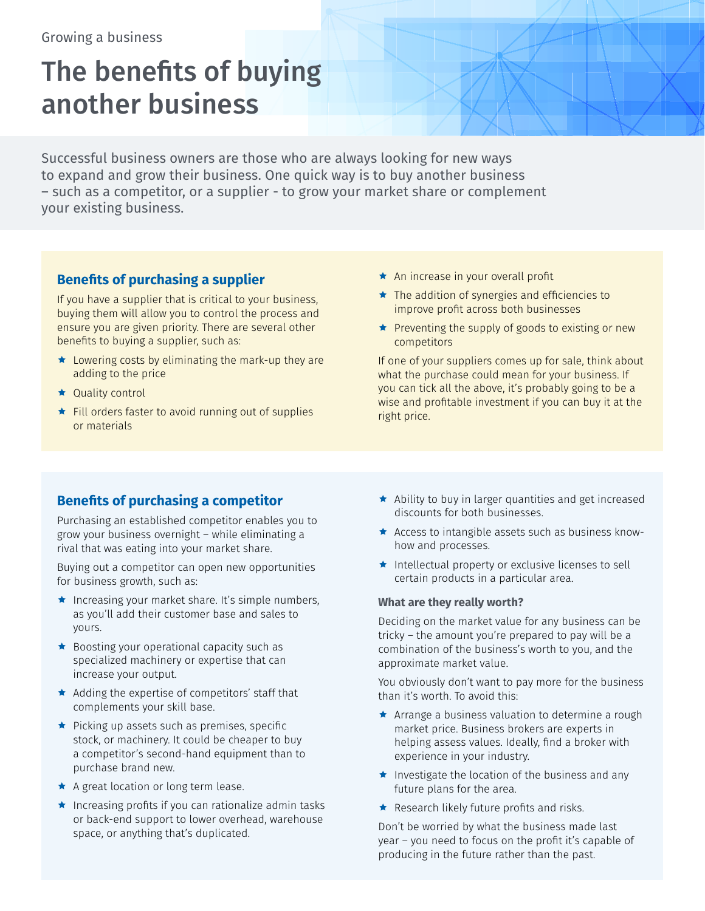# The benefits of buying another business

Successful business owners are those who are always looking for new ways to expand and grow their business. One quick way is to buy another business – such as a competitor, or a supplier - to grow your market share or complement your existing business.

## **Benefits of purchasing a supplier**

If you have a supplier that is critical to your business, buying them will allow you to control the process and ensure you are given priority. There are several other benefits to buying a supplier, such as:

- $\star$  Lowering costs by eliminating the mark-up they are adding to the price
- ★ Quality control
- $\star$  Fill orders faster to avoid running out of supplies or materials
- \* An increase in your overall profit
- $\star$  The addition of synergies and efficiencies to improve profit across both businesses
- $\star$  Preventing the supply of goods to existing or new competitors

If one of your suppliers comes up for sale, think about what the purchase could mean for your business. If you can tick all the above, it's probably going to be a wise and profitable investment if you can buy it at the right price.

## **Benefits of purchasing a competitor**

Purchasing an established competitor enables you to grow your business overnight – while eliminating a rival that was eating into your market share.

Buying out a competitor can open new opportunities for business growth, such as:

- ★ Increasing your market share. It's simple numbers, as you'll add their customer base and sales to yours.
- $\star$  Boosting your operational capacity such as specialized machinery or expertise that can increase your output.
- $\star$  Adding the expertise of competitors' staff that complements your skill base.
- $\star$  Picking up assets such as premises, specific stock, or machinery. It could be cheaper to buy a competitor's second-hand equipment than to purchase brand new.
- A great location or long term lease.
- $\star$  Increasing profits if you can rationalize admin tasks or back-end support to lower overhead, warehouse space, or anything that's duplicated.
- $\star$  Ability to buy in larger quantities and get increased discounts for both businesses.
- \* Access to intangible assets such as business knowhow and processes.
- $\star$  Intellectual property or exclusive licenses to sell certain products in a particular area.

#### **What are they really worth?**

Deciding on the market value for any business can be tricky – the amount you're prepared to pay will be a combination of the business's worth to you, and the approximate market value.

You obviously don't want to pay more for the business than it's worth. To avoid this:

- $\star$  Arrange a business valuation to determine a rough market price. Business brokers are experts in helping assess values. Ideally, find a broker with experience in your industry.
- $\star$  Investigate the location of the business and any future plans for the area.
- $\star$  Research likely future profits and risks.

Don't be worried by what the business made last year – you need to focus on the profit it's capable of producing in the future rather than the past.